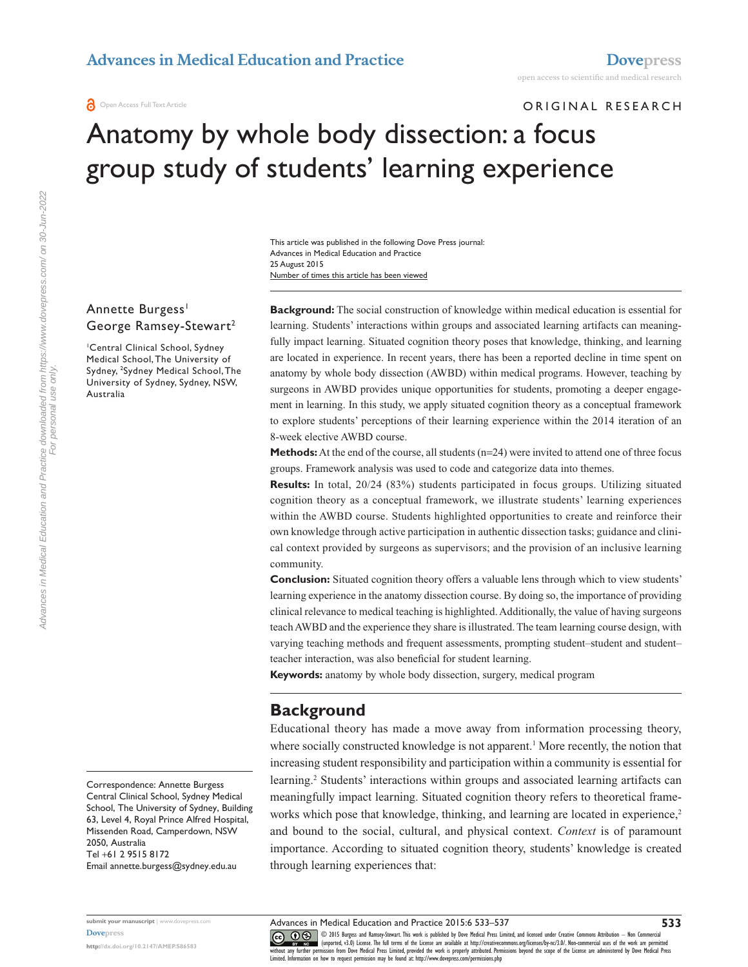Open Access Full Text Article

ORIGINAL RESEARCH

# Anatomy by whole body dissection: a focus group study of students' learning experience

Number of times this article has been viewed This article was published in the following Dove Press journal: Advances in Medical Education and Practice 25 August 2015

### Annette Burgess<sup>1</sup> George Ramsey-Stewart<sup>2</sup>

1 Central Clinical School, Sydney Medical School, The University of Sydney, 2 Sydney Medical School, The University of Sydney, Sydney, NSW, Australia

**Background:** The social construction of knowledge within medical education is essential for learning. Students' interactions within groups and associated learning artifacts can meaningfully impact learning. Situated cognition theory poses that knowledge, thinking, and learning are located in experience. In recent years, there has been a reported decline in time spent on anatomy by whole body dissection (AWBD) within medical programs. However, teaching by surgeons in AWBD provides unique opportunities for students, promoting a deeper engagement in learning. In this study, we apply situated cognition theory as a conceptual framework to explore students' perceptions of their learning experience within the 2014 iteration of an 8-week elective AWBD course.

**Methods:** At the end of the course, all students ( $n=24$ ) were invited to attend one of three focus groups. Framework analysis was used to code and categorize data into themes.

**Results:** In total, 20/24 (83%) students participated in focus groups. Utilizing situated cognition theory as a conceptual framework, we illustrate students' learning experiences within the AWBD course. Students highlighted opportunities to create and reinforce their own knowledge through active participation in authentic dissection tasks; guidance and clinical context provided by surgeons as supervisors; and the provision of an inclusive learning community.

**Conclusion:** Situated cognition theory offers a valuable lens through which to view students' learning experience in the anatomy dissection course. By doing so, the importance of providing clinical relevance to medical teaching is highlighted. Additionally, the value of having surgeons teach AWBD and the experience they share is illustrated. The team learning course design, with varying teaching methods and frequent assessments, prompting student–student and student– teacher interaction, was also beneficial for student learning.

**Keywords:** anatomy by whole body dissection, surgery, medical program

## **Background**

Educational theory has made a move away from information processing theory, where socially constructed knowledge is not apparent.<sup>1</sup> More recently, the notion that increasing student responsibility and participation within a community is essential for learning.<sup>2</sup> Students' interactions within groups and associated learning artifacts can meaningfully impact learning. Situated cognition theory refers to theoretical frameworks which pose that knowledge, thinking, and learning are located in experience,<sup>2</sup> and bound to the social, cultural, and physical context. *Context* is of paramount importance. According to situated cognition theory, students' knowledge is created through learning experiences that:

For personal use only.

For personal use only

**submit your manuscript** | <www.dovepress.com>

**<http://dx.doi.org/10.2147/AMEP.S86583>**

**[Dovepress](www.dovepress.com)**

**533**

Correspondence: Annette Burgess Central Clinical School, Sydney Medical School, The University of Sydney, Building 63, Level 4, Royal Prince Alfred Hospital, Missenden Road, Camperdown, NSW 2050, Australia Tel +61 2 9515 8172 Email [annette.burgess@sydney.edu.au](mailto:annette.burgess@sydney.edu.au)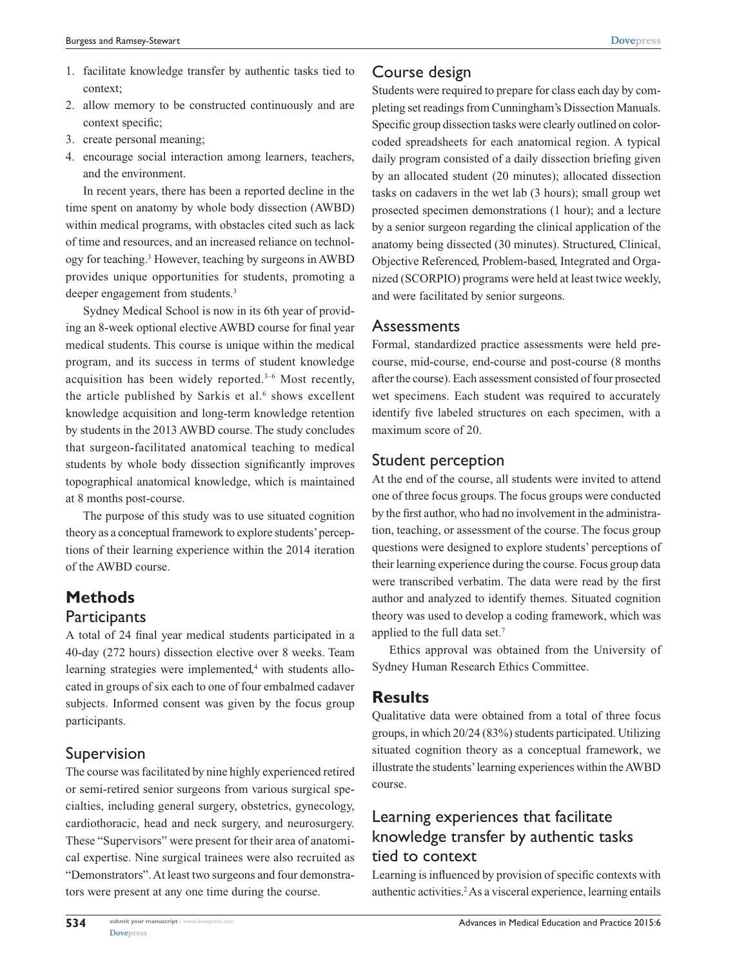- 1. facilitate knowledge transfer by authentic tasks tied to context;
- 2. allow memory to be constructed continuously and are context specific;
- 3. create personal meaning;
- 4. encourage social interaction among learners, teachers, and the environment.

In recent years, there has been a reported decline in the time spent on anatomy by whole body dissection (AWBD) within medical programs, with obstacles cited such as lack of time and resources, and an increased reliance on technology for teaching.3 However, teaching by surgeons in AWBD provides unique opportunities for students, promoting a deeper engagement from students.<sup>3</sup>

Sydney Medical School is now in its 6th year of providing an 8-week optional elective AWBD course for final year medical students. This course is unique within the medical program, and its success in terms of student knowledge acquisition has been widely reported.3–6 Most recently, the article published by Sarkis et al. $6$  shows excellent knowledge acquisition and long-term knowledge retention by students in the 2013 AWBD course. The study concludes that surgeon-facilitated anatomical teaching to medical students by whole body dissection significantly improves topographical anatomical knowledge, which is maintained at 8 months post-course.

The purpose of this study was to use situated cognition theory as a conceptual framework to explore students' perceptions of their learning experience within the 2014 iteration of the AWBD course.

# **Methods**

#### **Participants**

A total of 24 final year medical students participated in a 40-day (272 hours) dissection elective over 8 weeks. Team learning strategies were implemented,<sup>4</sup> with students allocated in groups of six each to one of four embalmed cadaver subjects. Informed consent was given by the focus group participants.

### Supervision

The course was facilitated by nine highly experienced retired or semi-retired senior surgeons from various surgical specialties, including general surgery, obstetrics, gynecology, cardiothoracic, head and neck surgery, and neurosurgery. These "Supervisors" were present for their area of anatomical expertise. Nine surgical trainees were also recruited as "Demonstrators". At least two surgeons and four demonstrators were present at any one time during the course.

### Course design

Students were required to prepare for class each day by completing set readings from Cunningham's Dissection Manuals. Specific group dissection tasks were clearly outlined on colorcoded spreadsheets for each anatomical region. A typical daily program consisted of a daily dissection briefing given by an allocated student (20 minutes); allocated dissection tasks on cadavers in the wet lab (3 hours); small group wet prosected specimen demonstrations (1 hour); and a lecture by a senior surgeon regarding the clinical application of the anatomy being dissected (30 minutes). Structured, Clinical, Objective Referenced, Problem-based, Integrated and Organized (SCORPIO) programs were held at least twice weekly, and were facilitated by senior surgeons.

#### Assessments

Formal, standardized practice assessments were held precourse, mid-course, end-course and post-course (8 months after the course). Each assessment consisted of four prosected wet specimens. Each student was required to accurately identify five labeled structures on each specimen, with a maximum score of 20.

### Student perception

At the end of the course, all students were invited to attend one of three focus groups. The focus groups were conducted by the first author, who had no involvement in the administration, teaching, or assessment of the course. The focus group questions were designed to explore students' perceptions of their learning experience during the course. Focus group data were transcribed verbatim. The data were read by the first author and analyzed to identify themes. Situated cognition theory was used to develop a coding framework, which was applied to the full data set.7

Ethics approval was obtained from the University of Sydney Human Research Ethics Committee.

### **Results**

Qualitative data were obtained from a total of three focus groups, in which 20/24 (83%) students participated. Utilizing situated cognition theory as a conceptual framework, we illustrate the students' learning experiences within the AWBD course.

# Learning experiences that facilitate knowledge transfer by authentic tasks tied to context

Learning is influenced by provision of specific contexts with authentic activities.<sup>2</sup> As a visceral experience, learning entails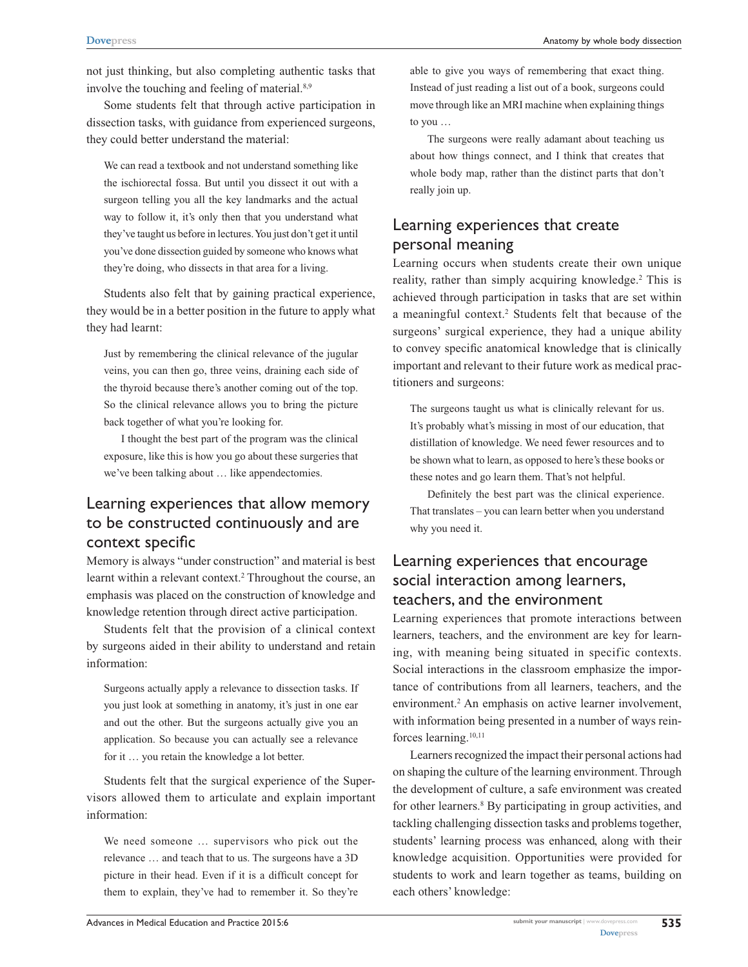not just thinking, but also completing authentic tasks that involve the touching and feeling of material.<sup>8,9</sup>

Some students felt that through active participation in dissection tasks, with guidance from experienced surgeons, they could better understand the material:

We can read a textbook and not understand something like the ischiorectal fossa. But until you dissect it out with a surgeon telling you all the key landmarks and the actual way to follow it, it's only then that you understand what they've taught us before in lectures. You just don't get it until you've done dissection guided by someone who knows what they're doing, who dissects in that area for a living.

Students also felt that by gaining practical experience, they would be in a better position in the future to apply what they had learnt:

Just by remembering the clinical relevance of the jugular veins, you can then go, three veins, draining each side of the thyroid because there's another coming out of the top. So the clinical relevance allows you to bring the picture back together of what you're looking for.

I thought the best part of the program was the clinical exposure, like this is how you go about these surgeries that we've been talking about … like appendectomies.

### Learning experiences that allow memory to be constructed continuously and are context specific

Memory is always "under construction" and material is best learnt within a relevant context.<sup>2</sup> Throughout the course, an emphasis was placed on the construction of knowledge and knowledge retention through direct active participation.

Students felt that the provision of a clinical context by surgeons aided in their ability to understand and retain information:

Surgeons actually apply a relevance to dissection tasks. If you just look at something in anatomy, it's just in one ear and out the other. But the surgeons actually give you an application. So because you can actually see a relevance for it … you retain the knowledge a lot better.

Students felt that the surgical experience of the Supervisors allowed them to articulate and explain important information:

We need someone … supervisors who pick out the relevance … and teach that to us. The surgeons have a 3D picture in their head. Even if it is a difficult concept for them to explain, they've had to remember it. So they're able to give you ways of remembering that exact thing. Instead of just reading a list out of a book, surgeons could move through like an MRI machine when explaining things to you …

The surgeons were really adamant about teaching us about how things connect, and I think that creates that whole body map, rather than the distinct parts that don't really join up.

# Learning experiences that create personal meaning

Learning occurs when students create their own unique reality, rather than simply acquiring knowledge.<sup>2</sup> This is achieved through participation in tasks that are set within a meaningful context.<sup>2</sup> Students felt that because of the surgeons' surgical experience, they had a unique ability to convey specific anatomical knowledge that is clinically important and relevant to their future work as medical practitioners and surgeons:

The surgeons taught us what is clinically relevant for us. It's probably what's missing in most of our education, that distillation of knowledge. We need fewer resources and to be shown what to learn, as opposed to here's these books or these notes and go learn them. That's not helpful.

Definitely the best part was the clinical experience. That translates – you can learn better when you understand why you need it.

### Learning experiences that encourage social interaction among learners, teachers, and the environment

Learning experiences that promote interactions between learners, teachers, and the environment are key for learning, with meaning being situated in specific contexts. Social interactions in the classroom emphasize the importance of contributions from all learners, teachers, and the environment.<sup>2</sup> An emphasis on active learner involvement, with information being presented in a number of ways reinforces learning.10,11

Learners recognized the impact their personal actions had on shaping the culture of the learning environment. Through the development of culture, a safe environment was created for other learners.<sup>8</sup> By participating in group activities, and tackling challenging dissection tasks and problems together, students' learning process was enhanced, along with their knowledge acquisition. Opportunities were provided for students to work and learn together as teams, building on each others' knowledge: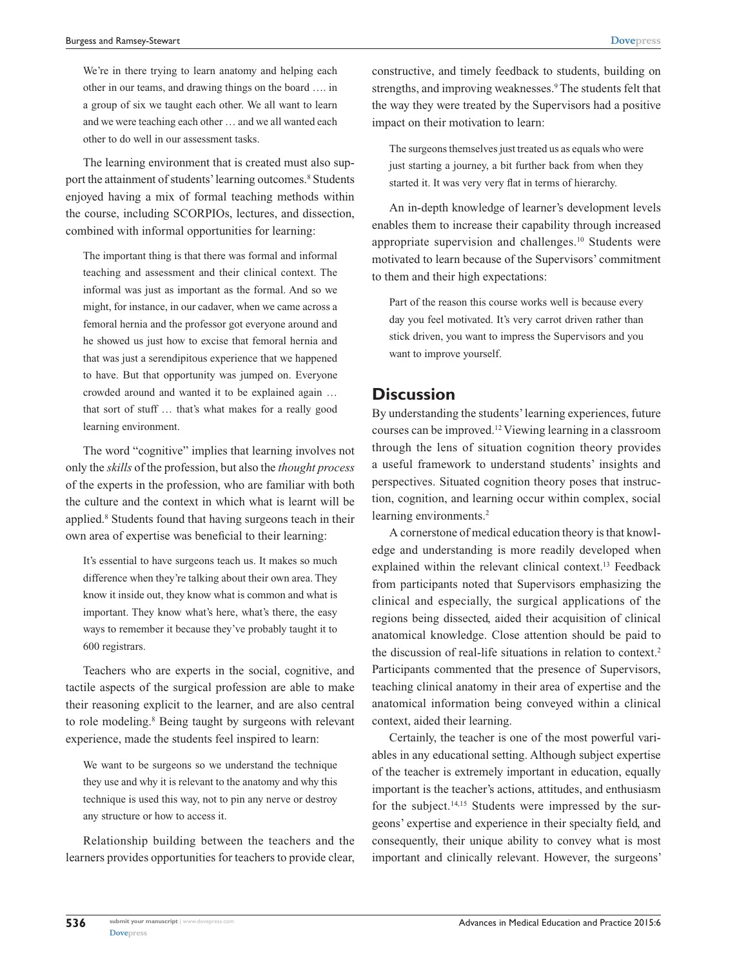We're in there trying to learn anatomy and helping each other in our teams, and drawing things on the board …. in a group of six we taught each other. We all want to learn and we were teaching each other … and we all wanted each other to do well in our assessment tasks.

The learning environment that is created must also support the attainment of students' learning outcomes.<sup>8</sup> Students enjoyed having a mix of formal teaching methods within the course, including SCORPIOs, lectures, and dissection, combined with informal opportunities for learning:

The important thing is that there was formal and informal teaching and assessment and their clinical context. The informal was just as important as the formal. And so we might, for instance, in our cadaver, when we came across a femoral hernia and the professor got everyone around and he showed us just how to excise that femoral hernia and that was just a serendipitous experience that we happened to have. But that opportunity was jumped on. Everyone crowded around and wanted it to be explained again … that sort of stuff … that's what makes for a really good learning environment.

The word "cognitive" implies that learning involves not only the *skills* of the profession, but also the *thought process* of the experts in the profession, who are familiar with both the culture and the context in which what is learnt will be applied.<sup>8</sup> Students found that having surgeons teach in their own area of expertise was beneficial to their learning:

It's essential to have surgeons teach us. It makes so much difference when they're talking about their own area. They know it inside out, they know what is common and what is important. They know what's here, what's there, the easy ways to remember it because they've probably taught it to 600 registrars.

Teachers who are experts in the social, cognitive, and tactile aspects of the surgical profession are able to make their reasoning explicit to the learner, and are also central to role modeling.<sup>8</sup> Being taught by surgeons with relevant experience, made the students feel inspired to learn:

We want to be surgeons so we understand the technique they use and why it is relevant to the anatomy and why this technique is used this way, not to pin any nerve or destroy any structure or how to access it.

Relationship building between the teachers and the learners provides opportunities for teachers to provide clear, constructive, and timely feedback to students, building on strengths, and improving weaknesses.<sup>9</sup> The students felt that the way they were treated by the Supervisors had a positive impact on their motivation to learn:

The surgeons themselves just treated us as equals who were just starting a journey, a bit further back from when they started it. It was very very flat in terms of hierarchy.

An in-depth knowledge of learner's development levels enables them to increase their capability through increased appropriate supervision and challenges.10 Students were motivated to learn because of the Supervisors' commitment to them and their high expectations:

Part of the reason this course works well is because every day you feel motivated. It's very carrot driven rather than stick driven, you want to impress the Supervisors and you want to improve yourself.

### **Discussion**

By understanding the students' learning experiences, future courses can be improved.12 Viewing learning in a classroom through the lens of situation cognition theory provides a useful framework to understand students' insights and perspectives. Situated cognition theory poses that instruction, cognition, and learning occur within complex, social learning environments.<sup>2</sup>

A cornerstone of medical education theory is that knowledge and understanding is more readily developed when explained within the relevant clinical context.13 Feedback from participants noted that Supervisors emphasizing the clinical and especially, the surgical applications of the regions being dissected, aided their acquisition of clinical anatomical knowledge. Close attention should be paid to the discussion of real-life situations in relation to context.<sup>2</sup> Participants commented that the presence of Supervisors, teaching clinical anatomy in their area of expertise and the anatomical information being conveyed within a clinical context, aided their learning.

Certainly, the teacher is one of the most powerful variables in any educational setting. Although subject expertise of the teacher is extremely important in education, equally important is the teacher's actions, attitudes, and enthusiasm for the subject.<sup>14,15</sup> Students were impressed by the surgeons' expertise and experience in their specialty field, and consequently, their unique ability to convey what is most important and clinically relevant. However, the surgeons'